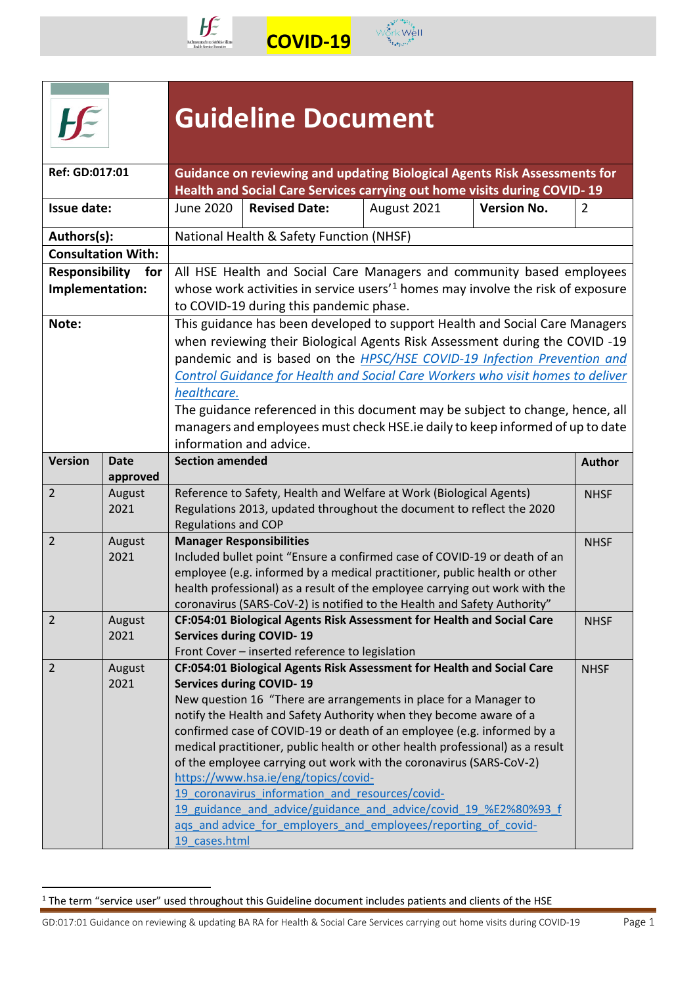



 **COVID-19** 

|                                   |                                                                               | <b>Guideline Document</b>                                                                                                                                                                                                                                                                                                                                                                                                                                                                                                                         |                                                                                                                                                                                                                 |             |                    |                |  |  |
|-----------------------------------|-------------------------------------------------------------------------------|---------------------------------------------------------------------------------------------------------------------------------------------------------------------------------------------------------------------------------------------------------------------------------------------------------------------------------------------------------------------------------------------------------------------------------------------------------------------------------------------------------------------------------------------------|-----------------------------------------------------------------------------------------------------------------------------------------------------------------------------------------------------------------|-------------|--------------------|----------------|--|--|
| Ref: GD:017:01                    |                                                                               |                                                                                                                                                                                                                                                                                                                                                                                                                                                                                                                                                   | Guidance on reviewing and updating Biological Agents Risk Assessments for<br>Health and Social Care Services carrying out home visits during COVID-19                                                           |             |                    |                |  |  |
| <b>Issue date:</b>                |                                                                               | June 2020                                                                                                                                                                                                                                                                                                                                                                                                                                                                                                                                         | <b>Revised Date:</b>                                                                                                                                                                                            | August 2021 | <b>Version No.</b> | $\overline{2}$ |  |  |
| Authors(s):                       |                                                                               |                                                                                                                                                                                                                                                                                                                                                                                                                                                                                                                                                   | National Health & Safety Function (NHSF)                                                                                                                                                                        |             |                    |                |  |  |
|                                   | <b>Consultation With:</b>                                                     |                                                                                                                                                                                                                                                                                                                                                                                                                                                                                                                                                   |                                                                                                                                                                                                                 |             |                    |                |  |  |
| Responsibility<br>Implementation: | for                                                                           |                                                                                                                                                                                                                                                                                                                                                                                                                                                                                                                                                   | All HSE Health and Social Care Managers and community based employees<br>whose work activities in service users <sup>'1</sup> homes may involve the risk of exposure<br>to COVID-19 during this pandemic phase. |             |                    |                |  |  |
| Note:                             |                                                                               | This guidance has been developed to support Health and Social Care Managers<br>when reviewing their Biological Agents Risk Assessment during the COVID -19<br>pandemic and is based on the <b>HPSC/HSE COVID-19</b> Infection Prevention and<br><b>Control Guidance for Health and Social Care Workers who visit homes to deliver</b><br>healthcare.<br>The guidance referenced in this document may be subject to change, hence, all<br>managers and employees must check HSE.ie daily to keep informed of up to date<br>information and advice. |                                                                                                                                                                                                                 |             |                    |                |  |  |
| <b>Version</b>                    | <b>Date</b>                                                                   | <b>Section amended</b>                                                                                                                                                                                                                                                                                                                                                                                                                                                                                                                            |                                                                                                                                                                                                                 |             |                    | <b>Author</b>  |  |  |
| $\overline{2}$                    | approved<br>August                                                            |                                                                                                                                                                                                                                                                                                                                                                                                                                                                                                                                                   | Reference to Safety, Health and Welfare at Work (Biological Agents)                                                                                                                                             |             |                    | <b>NHSF</b>    |  |  |
|                                   | 2021                                                                          | <b>Regulations and COP</b>                                                                                                                                                                                                                                                                                                                                                                                                                                                                                                                        | Regulations 2013, updated throughout the document to reflect the 2020                                                                                                                                           |             |                    |                |  |  |
| $\overline{2}$                    | August                                                                        |                                                                                                                                                                                                                                                                                                                                                                                                                                                                                                                                                   | <b>Manager Responsibilities</b>                                                                                                                                                                                 |             |                    | <b>NHSF</b>    |  |  |
|                                   | 2021                                                                          |                                                                                                                                                                                                                                                                                                                                                                                                                                                                                                                                                   | Included bullet point "Ensure a confirmed case of COVID-19 or death of an                                                                                                                                       |             |                    |                |  |  |
|                                   |                                                                               |                                                                                                                                                                                                                                                                                                                                                                                                                                                                                                                                                   | employee (e.g. informed by a medical practitioner, public health or other                                                                                                                                       |             |                    |                |  |  |
|                                   |                                                                               |                                                                                                                                                                                                                                                                                                                                                                                                                                                                                                                                                   | health professional) as a result of the employee carrying out work with the                                                                                                                                     |             |                    |                |  |  |
| $\overline{2}$                    |                                                                               |                                                                                                                                                                                                                                                                                                                                                                                                                                                                                                                                                   | coronavirus (SARS-CoV-2) is notified to the Health and Safety Authority"                                                                                                                                        |             |                    |                |  |  |
|                                   | August<br>2021                                                                |                                                                                                                                                                                                                                                                                                                                                                                                                                                                                                                                                   | CF:054:01 Biological Agents Risk Assessment for Health and Social Care<br><b>Services during COVID-19</b>                                                                                                       |             |                    | <b>NHSF</b>    |  |  |
|                                   |                                                                               |                                                                                                                                                                                                                                                                                                                                                                                                                                                                                                                                                   | Front Cover - inserted reference to legislation                                                                                                                                                                 |             |                    |                |  |  |
| $\overline{2}$                    | August                                                                        |                                                                                                                                                                                                                                                                                                                                                                                                                                                                                                                                                   | CF:054:01 Biological Agents Risk Assessment for Health and Social Care                                                                                                                                          |             |                    | <b>NHSF</b>    |  |  |
|                                   | 2021                                                                          |                                                                                                                                                                                                                                                                                                                                                                                                                                                                                                                                                   | <b>Services during COVID-19</b>                                                                                                                                                                                 |             |                    |                |  |  |
|                                   |                                                                               |                                                                                                                                                                                                                                                                                                                                                                                                                                                                                                                                                   | New question 16 "There are arrangements in place for a Manager to                                                                                                                                               |             |                    |                |  |  |
|                                   |                                                                               |                                                                                                                                                                                                                                                                                                                                                                                                                                                                                                                                                   | notify the Health and Safety Authority when they become aware of a                                                                                                                                              |             |                    |                |  |  |
|                                   |                                                                               |                                                                                                                                                                                                                                                                                                                                                                                                                                                                                                                                                   | confirmed case of COVID-19 or death of an employee (e.g. informed by a                                                                                                                                          |             |                    |                |  |  |
|                                   | medical practitioner, public health or other health professional) as a result |                                                                                                                                                                                                                                                                                                                                                                                                                                                                                                                                                   |                                                                                                                                                                                                                 |             |                    |                |  |  |
|                                   |                                                                               |                                                                                                                                                                                                                                                                                                                                                                                                                                                                                                                                                   | of the employee carrying out work with the coronavirus (SARS-CoV-2)                                                                                                                                             |             |                    |                |  |  |
|                                   |                                                                               |                                                                                                                                                                                                                                                                                                                                                                                                                                                                                                                                                   | https://www.hsa.ie/eng/topics/covid-                                                                                                                                                                            |             |                    |                |  |  |
|                                   |                                                                               |                                                                                                                                                                                                                                                                                                                                                                                                                                                                                                                                                   | 19 coronavirus information and resources/covid-<br>19 guidance and advice/guidance and advice/covid 19 %E2%80%93 f                                                                                              |             |                    |                |  |  |
|                                   |                                                                               |                                                                                                                                                                                                                                                                                                                                                                                                                                                                                                                                                   | ags and advice for employers and employees/reporting of covid-                                                                                                                                                  |             |                    |                |  |  |
|                                   |                                                                               | 19 cases.html                                                                                                                                                                                                                                                                                                                                                                                                                                                                                                                                     |                                                                                                                                                                                                                 |             |                    |                |  |  |

<span id="page-0-0"></span><sup>&</sup>lt;sup>1</sup> The term "service user" used throughout this Guideline document includes patients and clients of the HSE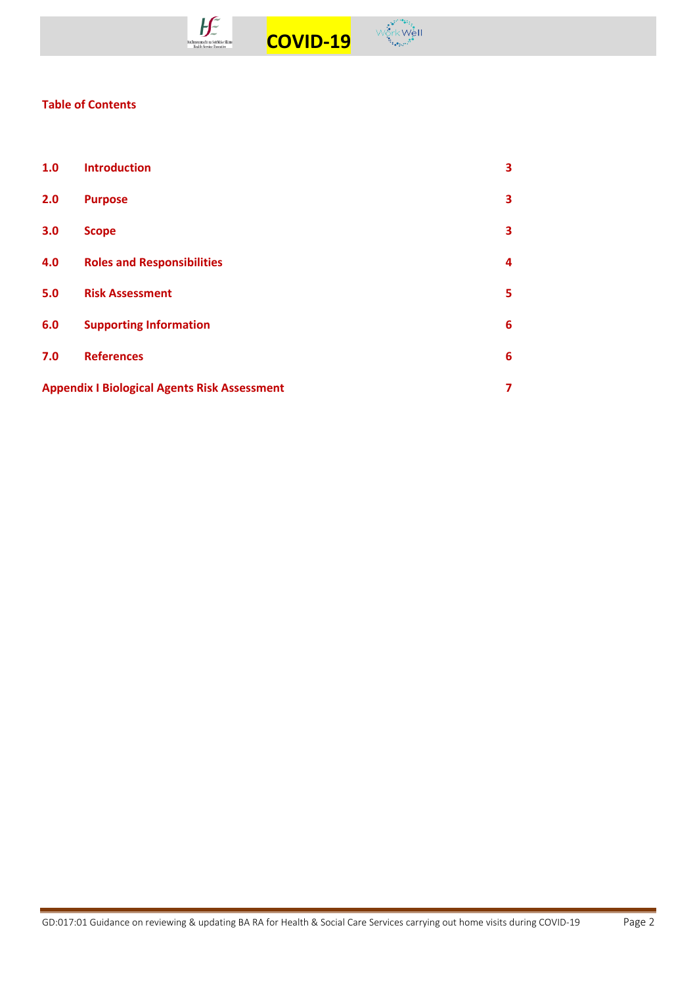



# **Table of Contents**

| 1.0                                                 | <b>Introduction</b>               | 3 |
|-----------------------------------------------------|-----------------------------------|---|
| 2.0                                                 | <b>Purpose</b>                    | 3 |
| 3.0                                                 | <b>Scope</b>                      | 3 |
| 4.0                                                 | <b>Roles and Responsibilities</b> | 4 |
| 5.0                                                 | <b>Risk Assessment</b>            | 5 |
| 6.0                                                 | <b>Supporting Information</b>     | 6 |
| 7.0                                                 | <b>References</b>                 | 6 |
| <b>Appendix I Biological Agents Risk Assessment</b> |                                   |   |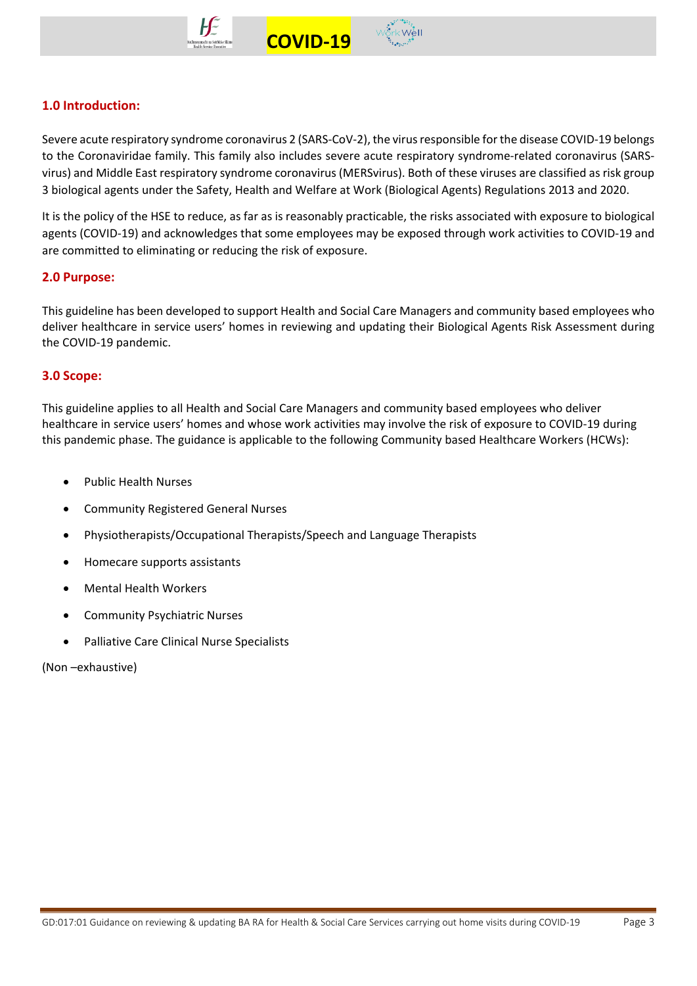



Severe acute respiratory syndrome coronavirus 2 (SARS-CoV-2), the virus responsible for the disease COVID-19 belongs to the Coronaviridae family. This family also includes severe acute respiratory syndrome-related coronavirus (SARSvirus) and Middle East respiratory syndrome coronavirus (MERSvirus). Both of these viruses are classified as risk group 3 biological agents under the Safety, Health and Welfare at Work (Biological Agents) Regulations 2013 and 2020.

 **COVID-19** 

It is the policy of the HSE to reduce, as far as is reasonably practicable, the risks associated with exposure to biological agents (COVID-19) and acknowledges that some employees may be exposed through work activities to COVID-19 and are committed to eliminating or reducing the risk of exposure.

# **2.0 Purpose:**

This guideline has been developed to support Health and Social Care Managers and community based employees who deliver healthcare in service users' homes in reviewing and updating their Biological Agents Risk Assessment during the COVID-19 pandemic.

# **3.0 Scope:**

This guideline applies to all Health and Social Care Managers and community based employees who deliver healthcare in service users' homes and whose work activities may involve the risk of exposure to COVID-19 during this pandemic phase. The guidance is applicable to the following Community based Healthcare Workers (HCWs):

- Public Health Nurses
- Community Registered General Nurses
- Physiotherapists/Occupational Therapists/Speech and Language Therapists
- Homecare supports assistants
- Mental Health Workers
- Community Psychiatric Nurses
- Palliative Care Clinical Nurse Specialists

(Non –exhaustive)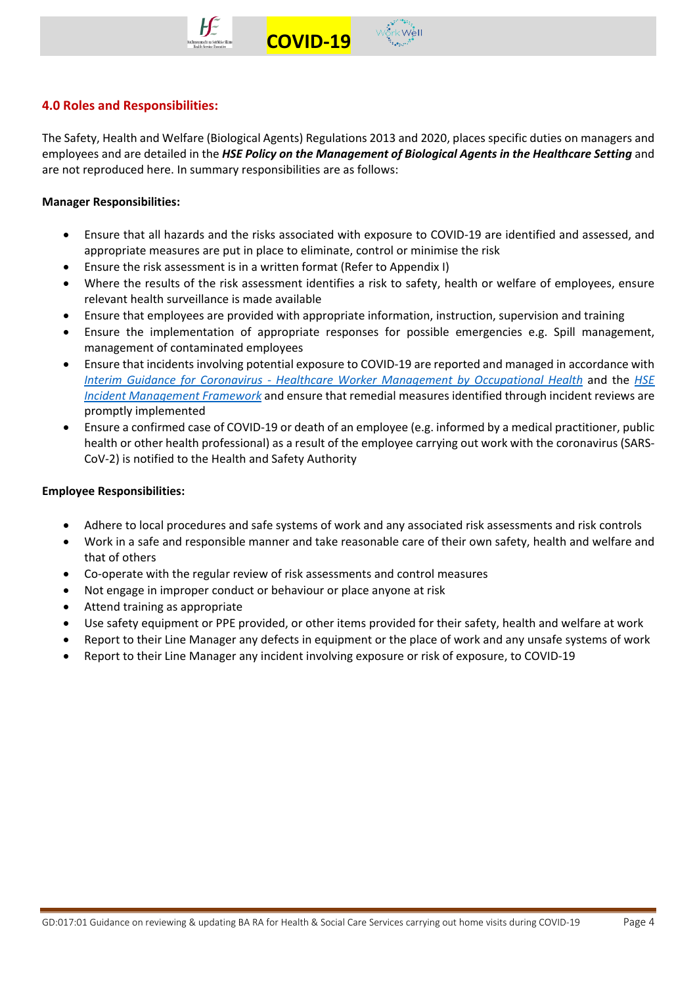



# **4.0 Roles and Responsibilities:**

The Safety, Health and Welfare (Biological Agents) Regulations 2013 and 2020, places specific duties on managers and employees and are detailed in the *HSE Policy on the Management of Biological Agents in the Healthcare Setting* and are not reproduced here. In summary responsibilities are as follows:

## **Manager Responsibilities:**

- Ensure that all hazards and the risks associated with exposure to COVID-19 are identified and assessed, and appropriate measures are put in place to eliminate, control or minimise the risk
- Ensure the risk assessment is in a written format (Refer to Appendix I)
- Where the results of the risk assessment identifies a risk to safety, health or welfare of employees, ensure relevant health surveillance is made available
- Ensure that employees are provided with appropriate information, instruction, supervision and training
- Ensure the implementation of appropriate responses for possible emergencies e.g. Spill management, management of contaminated employees
- Ensure that incidents involving potential exposure to COVID-19 are reported and managed in accordance with *Interim Guidance for Coronavirus - [Healthcare Worker Management by Occupational Health](https://www.hse.ie/eng/staff/workplace-health-and-wellbeing-unit/covid-19-guidance/)* and the *[HSE](https://www.hse.ie/eng/about/qavd/incident-management/)  [Incident Management Framework](https://www.hse.ie/eng/about/qavd/incident-management/)* and ensure that remedial measures identified through incident reviews are promptly implemented
- Ensure a confirmed case of COVID-19 or death of an employee (e.g. informed by a medical practitioner, public health or other health professional) as a result of the employee carrying out work with the coronavirus (SARS-CoV-2) is notified to the Health and Safety Authority

#### **Employee Responsibilities:**

- Adhere to local procedures and safe systems of work and any associated risk assessments and risk controls
- Work in a safe and responsible manner and take reasonable care of their own safety, health and welfare and that of others
- Co-operate with the regular review of risk assessments and control measures
- Not engage in improper conduct or behaviour or place anyone at risk
- Attend training as appropriate
- Use safety equipment or PPE provided, or other items provided for their safety, health and welfare at work
- Report to their Line Manager any defects in equipment or the place of work and any unsafe systems of work
- Report to their Line Manager any incident involving exposure or risk of exposure, to COVID-19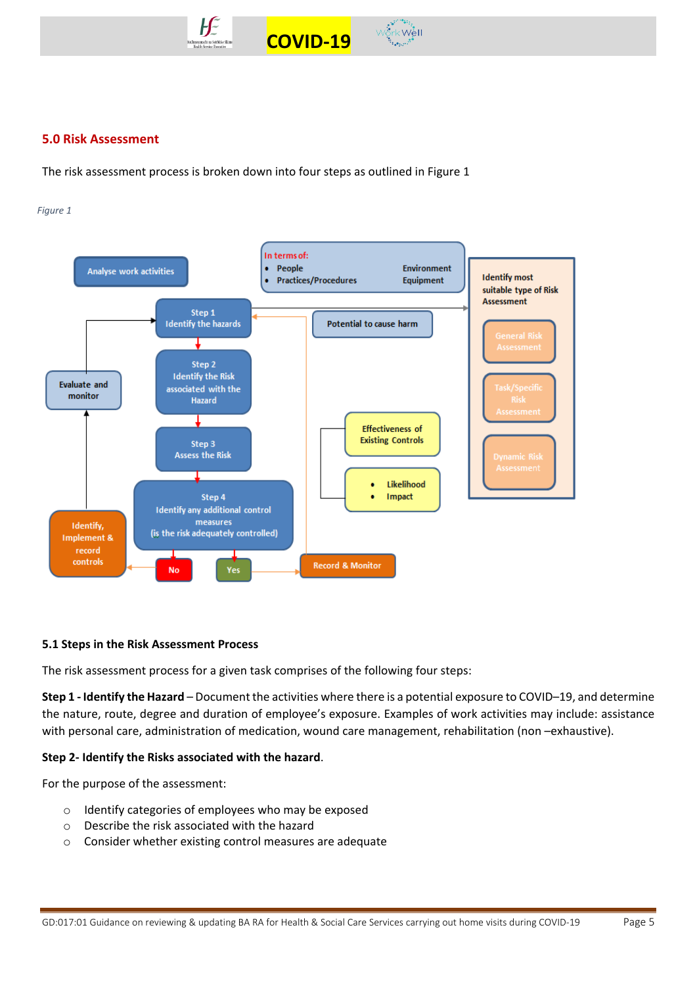

# **5.0 Risk Assessment**

The risk assessment process is broken down into four steps as outlined in Figure 1

#### *Figure 1*



#### **5.1 Steps in the Risk Assessment Process**

The risk assessment process for a given task comprises of the following four steps:

**Step 1 - Identify the Hazard** – Document the activities where there is a potential exposure to COVID–19, and determine the nature, route, degree and duration of employee's exposure. Examples of work activities may include: assistance with personal care, administration of medication, wound care management, rehabilitation (non –exhaustive).

## **Step 2- Identify the Risks associated with the hazard**.

For the purpose of the assessment:

- o Identify categories of employees who may be exposed
- o Describe the risk associated with the hazard
- o Consider whether existing control measures are adequate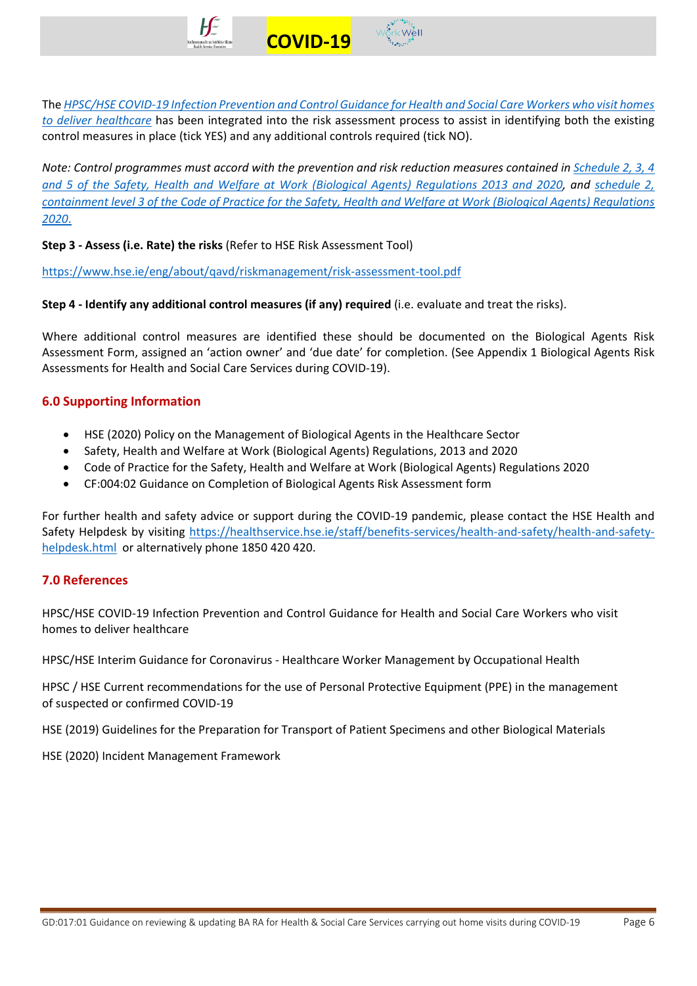

The *HPSC/HSE [COVID-19 Infection Prevention and Control Guidance for Health and Social Care Workers who visit homes](https://www.hpsc.ie/a-z/respiratory/coronavirus/novelcoronavirus/guidance/homecarevisitsguidance/)  [to deliver healthcare](https://www.hpsc.ie/a-z/respiratory/coronavirus/novelcoronavirus/guidance/homecarevisitsguidance/)* has been integrated into the risk assessment process to assist in identifying both the existing control measures in place (tick YES) and any additional controls required (tick NO).

*Note: Control programmes must accord with the prevention and risk reduction measures contained in [Schedule 2, 3, 4](https://www.hsa.ie/eng/topics/biological_agents/legislation_and_code_of_practice/)  [and 5 of the Safety, Health and Welfare at Work \(Biological Agents\) Regulations 2013](https://www.hsa.ie/eng/topics/biological_agents/legislation_and_code_of_practice/) and 2020, and [schedule](https://www.hsa.ie/eng/topics/biological_agents/legislation_and_code_of_practice/) 2, [containment level 3 of the Code of Practice for the Safety, Health and Welfare at Work \(Biological Agents\) Regulations](https://www.hsa.ie/eng/topics/biological_agents/legislation_and_code_of_practice/)  [2020](https://www.hsa.ie/eng/topics/biological_agents/legislation_and_code_of_practice/)*.

**Step 3 - Assess (i.e. Rate) the risks** (Refer to HSE Risk Assessment Tool)

<https://www.hse.ie/eng/about/qavd/riskmanagement/risk-assessment-tool.pdf>

**Step 4 - Identify any additional control measures (if any) required** (i.e. evaluate and treat the risks).

Where additional control measures are identified these should be documented on the Biological Agents Risk Assessment Form, assigned an 'action owner' and 'due date' for completion. (See Appendix 1 Biological Agents Risk Assessments for Health and Social Care Services during COVID-19).

# **6.0 Supporting Information**

- HSE (2020) Policy on the Management of Biological Agents in the Healthcare Sector
- Safety, Health and Welfare at Work (Biological Agents) Regulations, 2013 and 2020
- Code of Practice for the Safety, Health and Welfare at Work (Biological Agents) Regulations 2020
- CF:004:02 Guidance on Completion of Biological Agents Risk Assessment form

For further health and safety advice or support during the COVID-19 pandemic, please contact the HSE Health and Safety Helpdesk by visiting [https://healthservice.hse.ie/staff/benefits-services/health-and-safety/health-and-safety](https://healthservice.hse.ie/staff/benefits-services/health-and-safety/health-and-safety-helpdesk.html)[helpdesk.html](https://healthservice.hse.ie/staff/benefits-services/health-and-safety/health-and-safety-helpdesk.html) or alternatively phone 1850 420 420.

## **7.0 References**

HPSC/HSE COVID-19 Infection Prevention and Control Guidance for Health and Social Care Workers who visit homes to deliver healthcare

HPSC/HSE Interim Guidance for Coronavirus - Healthcare Worker Management by Occupational Health

HPSC / HSE Current recommendations for the use of Personal Protective Equipment (PPE) in the management of suspected or confirmed COVID-19

HSE (2019) Guidelines for the Preparation for Transport of Patient Specimens and other Biological Materials

HSE (2020) Incident Management Framework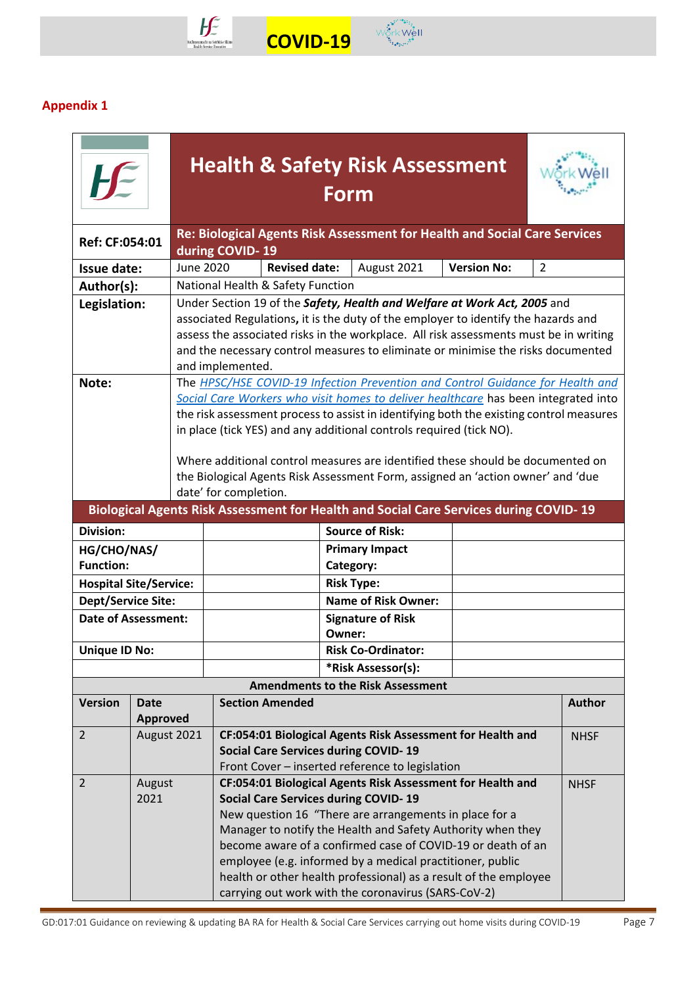

# **Appendix 1**

|                               |                 |           |                                                                                                                                                                   |                                                                             | <b>Health &amp; Safety Risk Assessment</b><br><b>Form</b>                               |  |  |               |  |
|-------------------------------|-----------------|-----------|-------------------------------------------------------------------------------------------------------------------------------------------------------------------|-----------------------------------------------------------------------------|-----------------------------------------------------------------------------------------|--|--|---------------|--|
| Ref: CF:054:01                |                 |           | during COVID-19                                                                                                                                                   |                                                                             | Re: Biological Agents Risk Assessment for Health and Social Care Services               |  |  |               |  |
| Issue date:                   |                 | June 2020 |                                                                                                                                                                   | <b>Revised date:</b><br>August 2021<br><b>Version No:</b><br>$\overline{2}$ |                                                                                         |  |  |               |  |
| Author(s):                    |                 |           |                                                                                                                                                                   | National Health & Safety Function                                           |                                                                                         |  |  |               |  |
| Legislation:                  |                 |           |                                                                                                                                                                   |                                                                             | Under Section 19 of the Safety, Health and Welfare at Work Act, 2005 and                |  |  |               |  |
|                               |                 |           |                                                                                                                                                                   |                                                                             | associated Regulations, it is the duty of the employer to identify the hazards and      |  |  |               |  |
|                               |                 |           |                                                                                                                                                                   |                                                                             | assess the associated risks in the workplace. All risk assessments must be in writing   |  |  |               |  |
|                               |                 |           |                                                                                                                                                                   |                                                                             | and the necessary control measures to eliminate or minimise the risks documented        |  |  |               |  |
|                               |                 |           | and implemented.                                                                                                                                                  |                                                                             |                                                                                         |  |  |               |  |
| Note:                         |                 |           |                                                                                                                                                                   |                                                                             | The HPSC/HSE COVID-19 Infection Prevention and Control Guidance for Health and          |  |  |               |  |
|                               |                 |           |                                                                                                                                                                   |                                                                             | Social Care Workers who visit homes to deliver healthcare has been integrated into      |  |  |               |  |
|                               |                 |           |                                                                                                                                                                   |                                                                             | the risk assessment process to assist in identifying both the existing control measures |  |  |               |  |
|                               |                 |           |                                                                                                                                                                   |                                                                             | in place (tick YES) and any additional controls required (tick NO).                     |  |  |               |  |
|                               |                 |           |                                                                                                                                                                   |                                                                             |                                                                                         |  |  |               |  |
|                               |                 |           | Where additional control measures are identified these should be documented on<br>the Biological Agents Risk Assessment Form, assigned an 'action owner' and 'due |                                                                             |                                                                                         |  |  |               |  |
|                               |                 |           | date' for completion.                                                                                                                                             |                                                                             |                                                                                         |  |  |               |  |
|                               |                 |           |                                                                                                                                                                   |                                                                             | Biological Agents Risk Assessment for Health and Social Care Services during COVID-19   |  |  |               |  |
| <b>Division:</b>              |                 |           |                                                                                                                                                                   |                                                                             | <b>Source of Risk:</b>                                                                  |  |  |               |  |
| HG/CHO/NAS/                   |                 |           |                                                                                                                                                                   |                                                                             | <b>Primary Impact</b>                                                                   |  |  |               |  |
| <b>Function:</b>              |                 |           |                                                                                                                                                                   |                                                                             | Category:                                                                               |  |  |               |  |
| <b>Hospital Site/Service:</b> |                 |           |                                                                                                                                                                   |                                                                             | <b>Risk Type:</b>                                                                       |  |  |               |  |
| <b>Dept/Service Site:</b>     |                 |           |                                                                                                                                                                   |                                                                             | <b>Name of Risk Owner:</b>                                                              |  |  |               |  |
| <b>Date of Assessment:</b>    |                 |           |                                                                                                                                                                   |                                                                             | <b>Signature of Risk</b>                                                                |  |  |               |  |
|                               |                 |           |                                                                                                                                                                   |                                                                             | Owner:                                                                                  |  |  |               |  |
| <b>Unique ID No:</b>          |                 |           |                                                                                                                                                                   |                                                                             | <b>Risk Co-Ordinator:</b>                                                               |  |  |               |  |
|                               |                 |           |                                                                                                                                                                   |                                                                             | *Risk Assessor(s):                                                                      |  |  |               |  |
|                               |                 |           |                                                                                                                                                                   |                                                                             | <b>Amendments to the Risk Assessment</b>                                                |  |  |               |  |
| <b>Version</b>                | <b>Date</b>     |           |                                                                                                                                                                   | <b>Section Amended</b>                                                      |                                                                                         |  |  | <b>Author</b> |  |
|                               | <b>Approved</b> |           |                                                                                                                                                                   |                                                                             |                                                                                         |  |  |               |  |
| $\overline{2}$                | August 2021     |           |                                                                                                                                                                   |                                                                             | CF:054:01 Biological Agents Risk Assessment for Health and                              |  |  | <b>NHSF</b>   |  |
|                               |                 |           |                                                                                                                                                                   | <b>Social Care Services during COVID-19</b>                                 |                                                                                         |  |  |               |  |
|                               |                 |           |                                                                                                                                                                   | Front Cover - inserted reference to legislation                             |                                                                                         |  |  |               |  |
| 2                             | August          |           |                                                                                                                                                                   |                                                                             | CF:054:01 Biological Agents Risk Assessment for Health and                              |  |  | <b>NHSF</b>   |  |
| 2021                          |                 |           |                                                                                                                                                                   | <b>Social Care Services during COVID-19</b>                                 |                                                                                         |  |  |               |  |
|                               |                 |           |                                                                                                                                                                   |                                                                             | New question 16 "There are arrangements in place for a                                  |  |  |               |  |
|                               |                 |           |                                                                                                                                                                   |                                                                             | Manager to notify the Health and Safety Authority when they                             |  |  |               |  |
|                               |                 |           |                                                                                                                                                                   |                                                                             | become aware of a confirmed case of COVID-19 or death of an                             |  |  |               |  |
|                               |                 |           |                                                                                                                                                                   |                                                                             | employee (e.g. informed by a medical practitioner, public                               |  |  |               |  |
|                               |                 |           |                                                                                                                                                                   |                                                                             | health or other health professional) as a result of the employee                        |  |  |               |  |
|                               |                 |           |                                                                                                                                                                   | carrying out work with the coronavirus (SARS-CoV-2)                         |                                                                                         |  |  |               |  |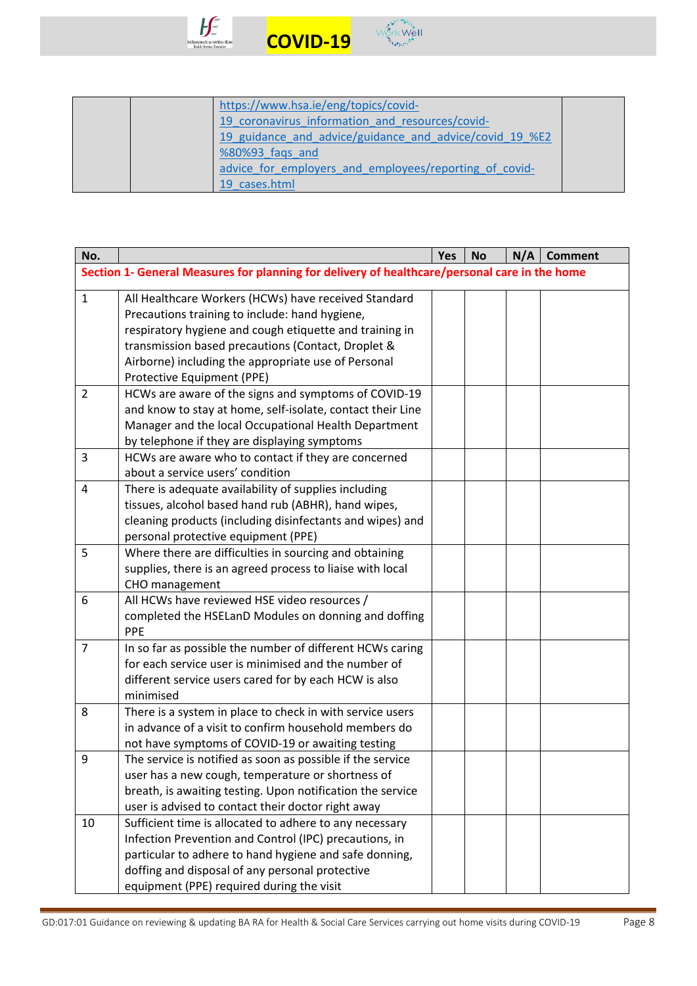



|  | https://www.hsa.ie/eng/topics/covid-                    |  |
|--|---------------------------------------------------------|--|
|  | 19 coronavirus information and resources/covid-         |  |
|  | 19 guidance and advice/guidance and advice/covid 19 %E2 |  |
|  | %80%93 fags and                                         |  |
|  | advice for employers and employees/reporting of covid-  |  |
|  | 19 cases.html                                           |  |

| No.            |                                                                                               | <b>Yes</b> | <b>No</b> | N/A | <b>Comment</b> |
|----------------|-----------------------------------------------------------------------------------------------|------------|-----------|-----|----------------|
|                | Section 1- General Measures for planning for delivery of healthcare/personal care in the home |            |           |     |                |
| $\mathbf{1}$   | All Healthcare Workers (HCWs) have received Standard                                          |            |           |     |                |
|                | Precautions training to include: hand hygiene,                                                |            |           |     |                |
|                | respiratory hygiene and cough etiquette and training in                                       |            |           |     |                |
|                | transmission based precautions (Contact, Droplet &                                            |            |           |     |                |
|                | Airborne) including the appropriate use of Personal                                           |            |           |     |                |
|                | Protective Equipment (PPE)                                                                    |            |           |     |                |
| $\overline{2}$ | HCWs are aware of the signs and symptoms of COVID-19                                          |            |           |     |                |
|                | and know to stay at home, self-isolate, contact their Line                                    |            |           |     |                |
|                | Manager and the local Occupational Health Department                                          |            |           |     |                |
|                | by telephone if they are displaying symptoms                                                  |            |           |     |                |
| 3              | HCWs are aware who to contact if they are concerned                                           |            |           |     |                |
|                | about a service users' condition                                                              |            |           |     |                |
| $\overline{4}$ | There is adequate availability of supplies including                                          |            |           |     |                |
|                | tissues, alcohol based hand rub (ABHR), hand wipes,                                           |            |           |     |                |
|                | cleaning products (including disinfectants and wipes) and                                     |            |           |     |                |
|                | personal protective equipment (PPE)                                                           |            |           |     |                |
| 5              | Where there are difficulties in sourcing and obtaining                                        |            |           |     |                |
|                | supplies, there is an agreed process to liaise with local                                     |            |           |     |                |
|                | CHO management                                                                                |            |           |     |                |
| 6              | All HCWs have reviewed HSE video resources /                                                  |            |           |     |                |
|                | completed the HSELanD Modules on donning and doffing<br>PPE                                   |            |           |     |                |
| $\overline{7}$ | In so far as possible the number of different HCWs caring                                     |            |           |     |                |
|                | for each service user is minimised and the number of                                          |            |           |     |                |
|                | different service users cared for by each HCW is also                                         |            |           |     |                |
|                | minimised                                                                                     |            |           |     |                |
| 8              | There is a system in place to check in with service users                                     |            |           |     |                |
|                | in advance of a visit to confirm household members do                                         |            |           |     |                |
|                | not have symptoms of COVID-19 or awaiting testing                                             |            |           |     |                |
| 9              | The service is notified as soon as possible if the service                                    |            |           |     |                |
|                | user has a new cough, temperature or shortness of                                             |            |           |     |                |
|                | breath, is awaiting testing. Upon notification the service                                    |            |           |     |                |
|                | user is advised to contact their doctor right away                                            |            |           |     |                |
| 10             | Sufficient time is allocated to adhere to any necessary                                       |            |           |     |                |
|                | Infection Prevention and Control (IPC) precautions, in                                        |            |           |     |                |
|                | particular to adhere to hand hygiene and safe donning,                                        |            |           |     |                |
|                | doffing and disposal of any personal protective                                               |            |           |     |                |
|                | equipment (PPE) required during the visit                                                     |            |           |     |                |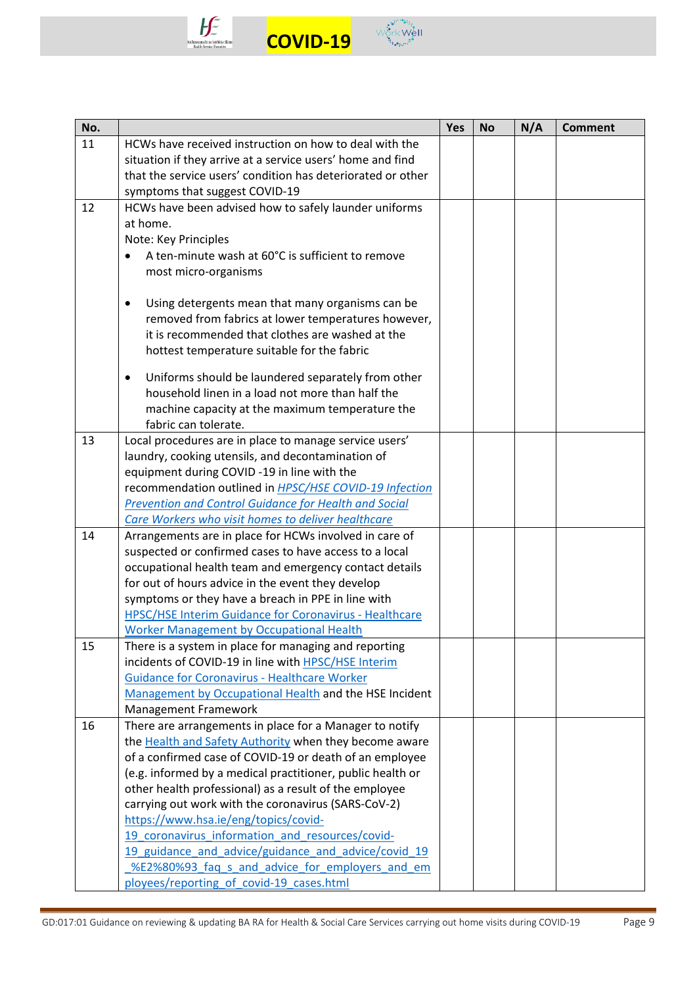



| No. |                                                                                             | <b>Yes</b> | <b>No</b> | N/A | <b>Comment</b> |
|-----|---------------------------------------------------------------------------------------------|------------|-----------|-----|----------------|
| 11  | HCWs have received instruction on how to deal with the                                      |            |           |     |                |
|     | situation if they arrive at a service users' home and find                                  |            |           |     |                |
|     | that the service users' condition has deteriorated or other                                 |            |           |     |                |
|     | symptoms that suggest COVID-19                                                              |            |           |     |                |
| 12  | HCWs have been advised how to safely launder uniforms                                       |            |           |     |                |
|     | at home.                                                                                    |            |           |     |                |
|     | Note: Key Principles                                                                        |            |           |     |                |
|     | A ten-minute wash at 60°C is sufficient to remove                                           |            |           |     |                |
|     | most micro-organisms                                                                        |            |           |     |                |
|     |                                                                                             |            |           |     |                |
|     | Using detergents mean that many organisms can be<br>$\bullet$                               |            |           |     |                |
|     | removed from fabrics at lower temperatures however,                                         |            |           |     |                |
|     | it is recommended that clothes are washed at the                                            |            |           |     |                |
|     | hottest temperature suitable for the fabric                                                 |            |           |     |                |
|     | Uniforms should be laundered separately from other<br>$\bullet$                             |            |           |     |                |
|     | household linen in a load not more than half the                                            |            |           |     |                |
|     | machine capacity at the maximum temperature the                                             |            |           |     |                |
|     | fabric can tolerate.                                                                        |            |           |     |                |
| 13  | Local procedures are in place to manage service users'                                      |            |           |     |                |
|     | laundry, cooking utensils, and decontamination of                                           |            |           |     |                |
|     | equipment during COVID -19 in line with the                                                 |            |           |     |                |
|     | recommendation outlined in HPSC/HSE COVID-19 Infection                                      |            |           |     |                |
|     | <b>Prevention and Control Guidance for Health and Social</b>                                |            |           |     |                |
|     | Care Workers who visit homes to deliver healthcare                                          |            |           |     |                |
| 14  | Arrangements are in place for HCWs involved in care of                                      |            |           |     |                |
|     | suspected or confirmed cases to have access to a local                                      |            |           |     |                |
|     | occupational health team and emergency contact details                                      |            |           |     |                |
|     | for out of hours advice in the event they develop                                           |            |           |     |                |
|     | symptoms or they have a breach in PPE in line with                                          |            |           |     |                |
|     | <b>HPSC/HSE Interim Guidance for Coronavirus - Healthcare</b>                               |            |           |     |                |
|     | <b>Worker Management by Occupational Health</b>                                             |            |           |     |                |
| 15  | There is a system in place for managing and reporting                                       |            |           |     |                |
|     | incidents of COVID-19 in line with HPSC/HSE Interim                                         |            |           |     |                |
|     | <b>Guidance for Coronavirus - Healthcare Worker</b>                                         |            |           |     |                |
|     | Management by Occupational Health and the HSE Incident                                      |            |           |     |                |
|     | Management Framework                                                                        |            |           |     |                |
| 16  | There are arrangements in place for a Manager to notify                                     |            |           |     |                |
|     | the Health and Safety Authority when they become aware                                      |            |           |     |                |
|     | of a confirmed case of COVID-19 or death of an employee                                     |            |           |     |                |
|     | (e.g. informed by a medical practitioner, public health or                                  |            |           |     |                |
|     | other health professional) as a result of the employee                                      |            |           |     |                |
|     | carrying out work with the coronavirus (SARS-CoV-2)<br>https://www.hsa.ie/eng/topics/covid- |            |           |     |                |
|     | 19 coronavirus information and resources/covid-                                             |            |           |     |                |
|     | 19 guidance and advice/guidance and advice/covid 19                                         |            |           |     |                |
|     | %E2%80%93 faq s and advice for employers and em                                             |            |           |     |                |
|     | ployees/reporting of covid-19 cases.html                                                    |            |           |     |                |
|     |                                                                                             |            |           |     |                |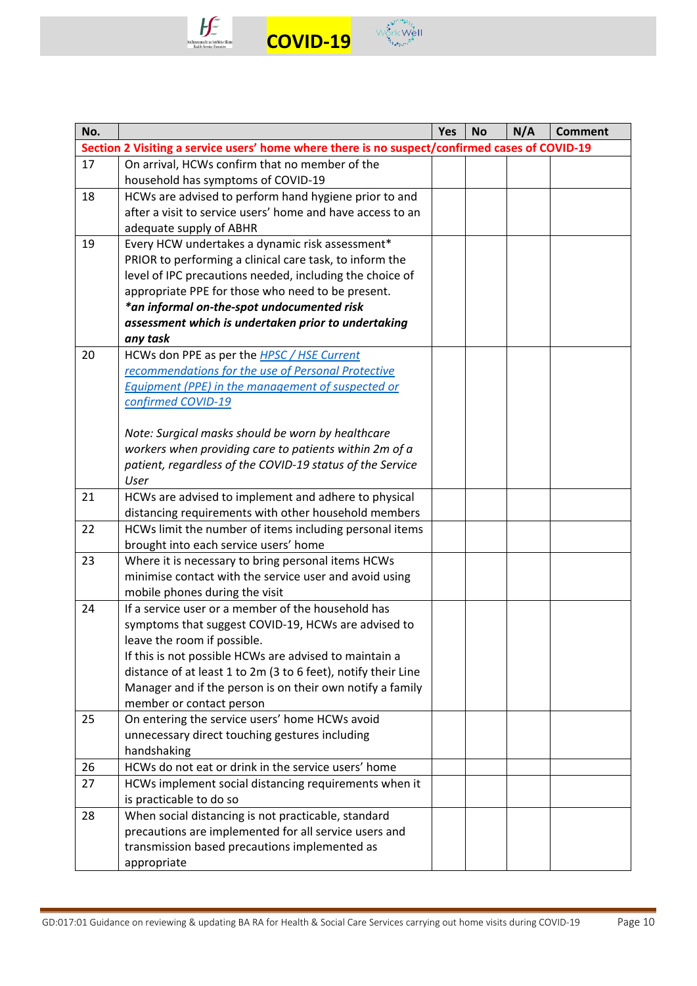



| No. |                                                                                                                 | Yes | <b>No</b> | N/A | <b>Comment</b> |
|-----|-----------------------------------------------------------------------------------------------------------------|-----|-----------|-----|----------------|
|     | Section 2 Visiting a service users' home where there is no suspect/confirmed cases of COVID-19                  |     |           |     |                |
| 17  | On arrival, HCWs confirm that no member of the                                                                  |     |           |     |                |
|     | household has symptoms of COVID-19                                                                              |     |           |     |                |
| 18  | HCWs are advised to perform hand hygiene prior to and                                                           |     |           |     |                |
|     | after a visit to service users' home and have access to an                                                      |     |           |     |                |
|     | adequate supply of ABHR                                                                                         |     |           |     |                |
| 19  | Every HCW undertakes a dynamic risk assessment*                                                                 |     |           |     |                |
|     | PRIOR to performing a clinical care task, to inform the                                                         |     |           |     |                |
|     | level of IPC precautions needed, including the choice of                                                        |     |           |     |                |
|     | appropriate PPE for those who need to be present.                                                               |     |           |     |                |
|     | *an informal on-the-spot undocumented risk<br>assessment which is undertaken prior to undertaking               |     |           |     |                |
|     | any task                                                                                                        |     |           |     |                |
| 20  | HCWs don PPE as per the <b>HPSC</b> / HSE Current                                                               |     |           |     |                |
|     | recommendations for the use of Personal Protective                                                              |     |           |     |                |
|     | <b>Equipment (PPE) in the management of suspected or</b>                                                        |     |           |     |                |
|     | confirmed COVID-19                                                                                              |     |           |     |                |
|     |                                                                                                                 |     |           |     |                |
|     | Note: Surgical masks should be worn by healthcare                                                               |     |           |     |                |
|     | workers when providing care to patients within 2m of a                                                          |     |           |     |                |
|     | patient, regardless of the COVID-19 status of the Service                                                       |     |           |     |                |
|     | User                                                                                                            |     |           |     |                |
| 21  | HCWs are advised to implement and adhere to physical                                                            |     |           |     |                |
| 22  | distancing requirements with other household members<br>HCWs limit the number of items including personal items |     |           |     |                |
|     | brought into each service users' home                                                                           |     |           |     |                |
| 23  | Where it is necessary to bring personal items HCWs                                                              |     |           |     |                |
|     | minimise contact with the service user and avoid using                                                          |     |           |     |                |
|     | mobile phones during the visit                                                                                  |     |           |     |                |
| 24  | If a service user or a member of the household has                                                              |     |           |     |                |
|     | symptoms that suggest COVID-19, HCWs are advised to                                                             |     |           |     |                |
|     | leave the room if possible.                                                                                     |     |           |     |                |
|     | If this is not possible HCWs are advised to maintain a                                                          |     |           |     |                |
|     | distance of at least 1 to 2m (3 to 6 feet), notify their Line                                                   |     |           |     |                |
|     | Manager and if the person is on their own notify a family                                                       |     |           |     |                |
|     | member or contact person                                                                                        |     |           |     |                |
| 25  | On entering the service users' home HCWs avoid<br>unnecessary direct touching gestures including                |     |           |     |                |
|     | handshaking                                                                                                     |     |           |     |                |
| 26  | HCWs do not eat or drink in the service users' home                                                             |     |           |     |                |
| 27  | HCWs implement social distancing requirements when it                                                           |     |           |     |                |
|     | is practicable to do so                                                                                         |     |           |     |                |
| 28  | When social distancing is not practicable, standard                                                             |     |           |     |                |
|     | precautions are implemented for all service users and                                                           |     |           |     |                |
|     | transmission based precautions implemented as                                                                   |     |           |     |                |
|     | appropriate                                                                                                     |     |           |     |                |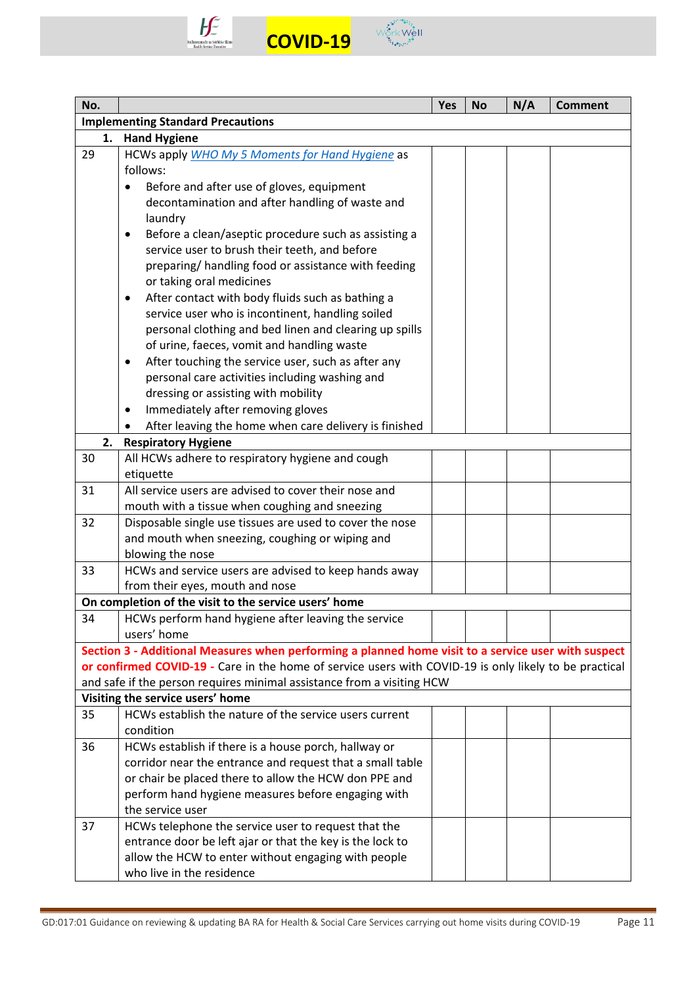



| No. |                                                                                                        | <b>Yes</b> | <b>No</b> | N/A | <b>Comment</b> |
|-----|--------------------------------------------------------------------------------------------------------|------------|-----------|-----|----------------|
|     | <b>Implementing Standard Precautions</b>                                                               |            |           |     |                |
| 1.  | <b>Hand Hygiene</b>                                                                                    |            |           |     |                |
| 29  | HCWs apply WHO My 5 Moments for Hand Hygiene as                                                        |            |           |     |                |
|     | follows:                                                                                               |            |           |     |                |
|     | Before and after use of gloves, equipment<br>$\bullet$                                                 |            |           |     |                |
|     | decontamination and after handling of waste and                                                        |            |           |     |                |
|     | laundry                                                                                                |            |           |     |                |
|     | Before a clean/aseptic procedure such as assisting a<br>٠                                              |            |           |     |                |
|     | service user to brush their teeth, and before                                                          |            |           |     |                |
|     | preparing/ handling food or assistance with feeding                                                    |            |           |     |                |
|     | or taking oral medicines                                                                               |            |           |     |                |
|     | After contact with body fluids such as bathing a<br>٠                                                  |            |           |     |                |
|     | service user who is incontinent, handling soiled                                                       |            |           |     |                |
|     | personal clothing and bed linen and clearing up spills                                                 |            |           |     |                |
|     | of urine, faeces, vomit and handling waste                                                             |            |           |     |                |
|     | After touching the service user, such as after any<br>٠                                                |            |           |     |                |
|     | personal care activities including washing and                                                         |            |           |     |                |
|     | dressing or assisting with mobility                                                                    |            |           |     |                |
|     | Immediately after removing gloves<br>٠                                                                 |            |           |     |                |
|     | After leaving the home when care delivery is finished                                                  |            |           |     |                |
| 2.  | <b>Respiratory Hygiene</b>                                                                             |            |           |     |                |
| 30  | All HCWs adhere to respiratory hygiene and cough                                                       |            |           |     |                |
|     | etiquette                                                                                              |            |           |     |                |
| 31  | All service users are advised to cover their nose and                                                  |            |           |     |                |
|     | mouth with a tissue when coughing and sneezing                                                         |            |           |     |                |
| 32  | Disposable single use tissues are used to cover the nose                                               |            |           |     |                |
|     | and mouth when sneezing, coughing or wiping and                                                        |            |           |     |                |
|     | blowing the nose                                                                                       |            |           |     |                |
| 33  | HCWs and service users are advised to keep hands away                                                  |            |           |     |                |
|     | from their eyes, mouth and nose                                                                        |            |           |     |                |
|     | On completion of the visit to the service users' home                                                  |            |           |     |                |
| 34  | HCWs perform hand hygiene after leaving the service                                                    |            |           |     |                |
|     | users' home                                                                                            |            |           |     |                |
|     | Section 3 - Additional Measures when performing a planned home visit to a service user with suspect    |            |           |     |                |
|     | or confirmed COVID-19 - Care in the home of service users with COVID-19 is only likely to be practical |            |           |     |                |
|     | and safe if the person requires minimal assistance from a visiting HCW                                 |            |           |     |                |
|     | Visiting the service users' home                                                                       |            |           |     |                |
| 35  | HCWs establish the nature of the service users current                                                 |            |           |     |                |
|     | condition                                                                                              |            |           |     |                |
| 36  | HCWs establish if there is a house porch, hallway or                                                   |            |           |     |                |
|     | corridor near the entrance and request that a small table                                              |            |           |     |                |
|     | or chair be placed there to allow the HCW don PPE and                                                  |            |           |     |                |
|     | perform hand hygiene measures before engaging with                                                     |            |           |     |                |
|     | the service user                                                                                       |            |           |     |                |
| 37  | HCWs telephone the service user to request that the                                                    |            |           |     |                |
|     | entrance door be left ajar or that the key is the lock to                                              |            |           |     |                |
|     | allow the HCW to enter without engaging with people                                                    |            |           |     |                |
|     | who live in the residence                                                                              |            |           |     |                |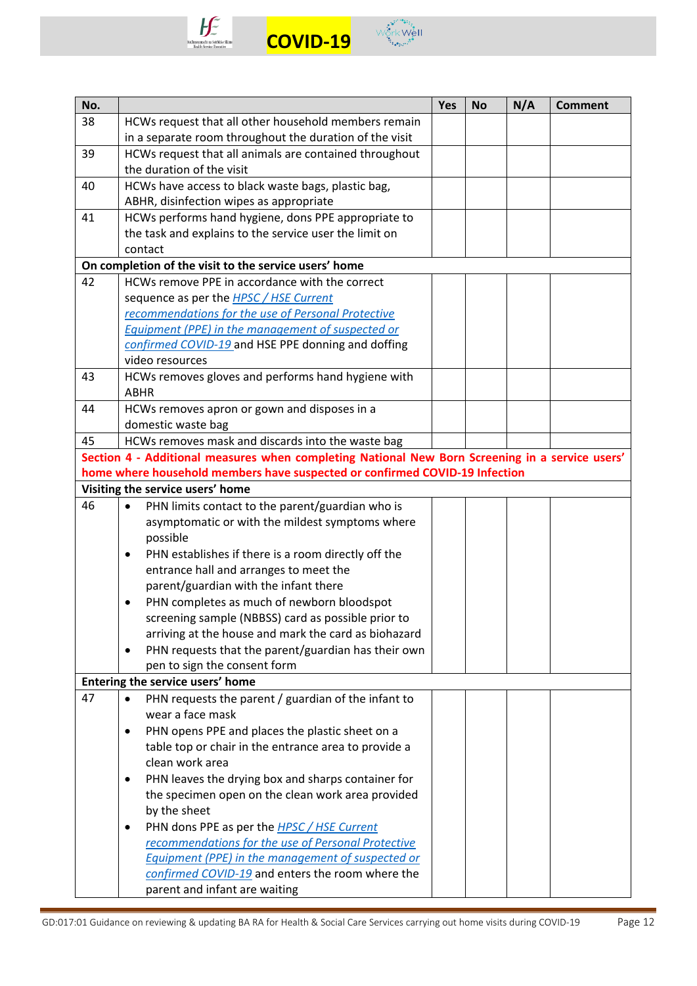



| No. |                                                                                                                                                      | Yes | <b>No</b> | N/A | <b>Comment</b> |
|-----|------------------------------------------------------------------------------------------------------------------------------------------------------|-----|-----------|-----|----------------|
| 38  | HCWs request that all other household members remain                                                                                                 |     |           |     |                |
|     | in a separate room throughout the duration of the visit                                                                                              |     |           |     |                |
| 39  | HCWs request that all animals are contained throughout                                                                                               |     |           |     |                |
|     | the duration of the visit                                                                                                                            |     |           |     |                |
| 40  | HCWs have access to black waste bags, plastic bag,                                                                                                   |     |           |     |                |
|     | ABHR, disinfection wipes as appropriate                                                                                                              |     |           |     |                |
| 41  | HCWs performs hand hygiene, dons PPE appropriate to                                                                                                  |     |           |     |                |
|     | the task and explains to the service user the limit on                                                                                               |     |           |     |                |
|     | contact                                                                                                                                              |     |           |     |                |
|     | On completion of the visit to the service users' home                                                                                                |     |           |     |                |
| 42  | HCWs remove PPE in accordance with the correct                                                                                                       |     |           |     |                |
|     | sequence as per the <b>HPSC</b> / HSE Current                                                                                                        |     |           |     |                |
|     | recommendations for the use of Personal Protective                                                                                                   |     |           |     |                |
|     | Equipment (PPE) in the management of suspected or                                                                                                    |     |           |     |                |
|     | confirmed COVID-19 and HSE PPE donning and doffing                                                                                                   |     |           |     |                |
|     | video resources                                                                                                                                      |     |           |     |                |
| 43  | HCWs removes gloves and performs hand hygiene with                                                                                                   |     |           |     |                |
|     | <b>ABHR</b>                                                                                                                                          |     |           |     |                |
| 44  | HCWs removes apron or gown and disposes in a                                                                                                         |     |           |     |                |
| 45  | domestic waste bag                                                                                                                                   |     |           |     |                |
|     | HCWs removes mask and discards into the waste bag<br>Section 4 - Additional measures when completing National New Born Screening in a service users' |     |           |     |                |
|     | home where household members have suspected or confirmed COVID-19 Infection                                                                          |     |           |     |                |
|     | Visiting the service users' home                                                                                                                     |     |           |     |                |
| 46  | PHN limits contact to the parent/guardian who is<br>$\bullet$                                                                                        |     |           |     |                |
|     | asymptomatic or with the mildest symptoms where                                                                                                      |     |           |     |                |
|     | possible                                                                                                                                             |     |           |     |                |
|     | PHN establishes if there is a room directly off the<br>٠                                                                                             |     |           |     |                |
|     | entrance hall and arranges to meet the                                                                                                               |     |           |     |                |
|     | parent/guardian with the infant there                                                                                                                |     |           |     |                |
|     | PHN completes as much of newborn bloodspot                                                                                                           |     |           |     |                |
|     | screening sample (NBBSS) card as possible prior to                                                                                                   |     |           |     |                |
|     | arriving at the house and mark the card as biohazard                                                                                                 |     |           |     |                |
|     | PHN requests that the parent/guardian has their own<br>$\bullet$                                                                                     |     |           |     |                |
|     | pen to sign the consent form                                                                                                                         |     |           |     |                |
|     | Entering the service users' home                                                                                                                     |     |           |     |                |
| 47  | PHN requests the parent / guardian of the infant to                                                                                                  |     |           |     |                |
|     | wear a face mask                                                                                                                                     |     |           |     |                |
|     | PHN opens PPE and places the plastic sheet on a<br>٠                                                                                                 |     |           |     |                |
|     | table top or chair in the entrance area to provide a                                                                                                 |     |           |     |                |
|     | clean work area                                                                                                                                      |     |           |     |                |
|     | PHN leaves the drying box and sharps container for<br>٠                                                                                              |     |           |     |                |
|     | the specimen open on the clean work area provided                                                                                                    |     |           |     |                |
|     | by the sheet                                                                                                                                         |     |           |     |                |
|     | PHN dons PPE as per the <b>HPSC</b> / HSE Current                                                                                                    |     |           |     |                |
|     | recommendations for the use of Personal Protective                                                                                                   |     |           |     |                |
|     | <b>Equipment (PPE) in the management of suspected or</b>                                                                                             |     |           |     |                |
|     | confirmed COVID-19 and enters the room where the                                                                                                     |     |           |     |                |
|     | parent and infant are waiting                                                                                                                        |     |           |     |                |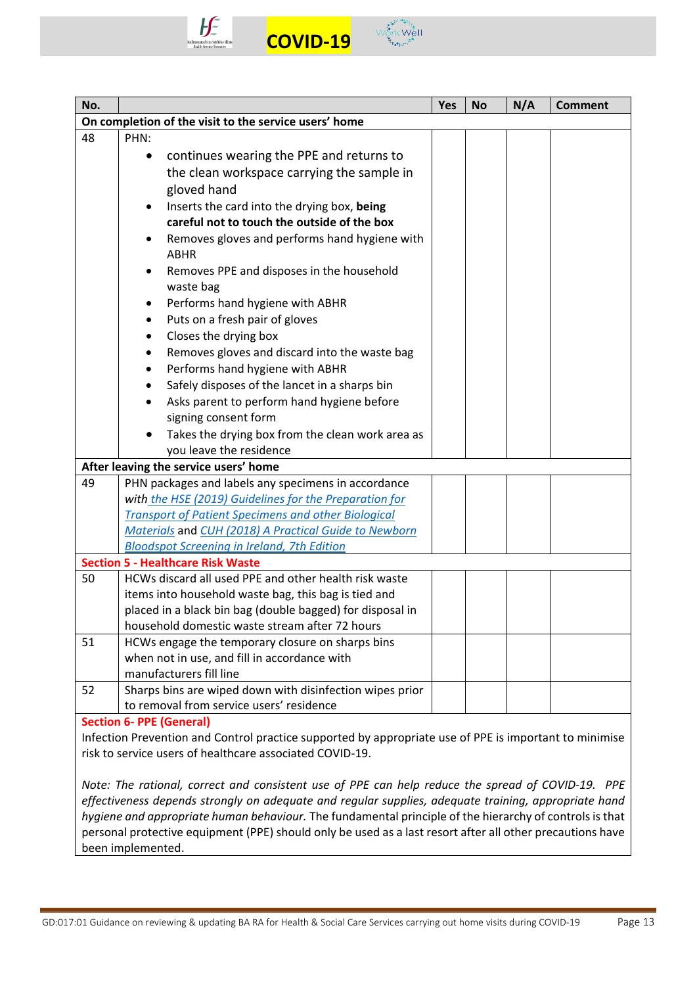



| No. |                                                                                                        | <b>Yes</b> | No | N/A | <b>Comment</b> |
|-----|--------------------------------------------------------------------------------------------------------|------------|----|-----|----------------|
|     | On completion of the visit to the service users' home                                                  |            |    |     |                |
| 48  | PHN:                                                                                                   |            |    |     |                |
|     | continues wearing the PPE and returns to<br>$\bullet$                                                  |            |    |     |                |
|     | the clean workspace carrying the sample in                                                             |            |    |     |                |
|     | gloved hand                                                                                            |            |    |     |                |
|     | Inserts the card into the drying box, being                                                            |            |    |     |                |
|     | careful not to touch the outside of the box                                                            |            |    |     |                |
|     | Removes gloves and performs hand hygiene with<br><b>ABHR</b>                                           |            |    |     |                |
|     | Removes PPE and disposes in the household<br>waste bag                                                 |            |    |     |                |
|     | Performs hand hygiene with ABHR<br>٠                                                                   |            |    |     |                |
|     | Puts on a fresh pair of gloves<br>٠                                                                    |            |    |     |                |
|     | Closes the drying box<br>٠                                                                             |            |    |     |                |
|     | Removes gloves and discard into the waste bag<br>٠                                                     |            |    |     |                |
|     | Performs hand hygiene with ABHR<br>$\bullet$                                                           |            |    |     |                |
|     | Safely disposes of the lancet in a sharps bin<br>$\bullet$                                             |            |    |     |                |
|     | Asks parent to perform hand hygiene before                                                             |            |    |     |                |
|     | signing consent form                                                                                   |            |    |     |                |
|     | Takes the drying box from the clean work area as                                                       |            |    |     |                |
|     | you leave the residence                                                                                |            |    |     |                |
|     | After leaving the service users' home                                                                  |            |    |     |                |
| 49  | PHN packages and labels any specimens in accordance                                                    |            |    |     |                |
|     | with the HSE (2019) Guidelines for the Preparation for                                                 |            |    |     |                |
|     | <b>Transport of Patient Specimens and other Biological</b>                                             |            |    |     |                |
|     | Materials and CUH (2018) A Practical Guide to Newborn                                                  |            |    |     |                |
|     | <b>Bloodspot Screening in Ireland, 7th Edition</b><br><b>Section 5 - Healthcare Risk Waste</b>         |            |    |     |                |
| 50  | HCWs discard all used PPE and other health risk waste                                                  |            |    |     |                |
|     | items into household waste bag, this bag is tied and                                                   |            |    |     |                |
|     | placed in a black bin bag (double bagged) for disposal in                                              |            |    |     |                |
|     | household domestic waste stream after 72 hours                                                         |            |    |     |                |
| 51  | HCWs engage the temporary closure on sharps bins                                                       |            |    |     |                |
|     | when not in use, and fill in accordance with                                                           |            |    |     |                |
|     | manufacturers fill line                                                                                |            |    |     |                |
| 52  | Sharps bins are wiped down with disinfection wipes prior                                               |            |    |     |                |
|     | to removal from service users' residence                                                               |            |    |     |                |
|     | <b>Section 6- PPE (General)</b>                                                                        |            |    |     |                |
|     | Infection Prevention and Control practice supported by appropriate use of PPE is important to minimise |            |    |     |                |

risk to service users of healthcare associated COVID-19.

*Note: The rational, correct and consistent use of PPE can help reduce the spread of COVID-19. PPE effectiveness depends strongly on adequate and regular supplies, adequate training, appropriate hand hygiene and appropriate human behaviour.* The fundamental principle of the hierarchy of controls is that personal protective equipment (PPE) should only be used as a last resort after all other precautions have been implemented.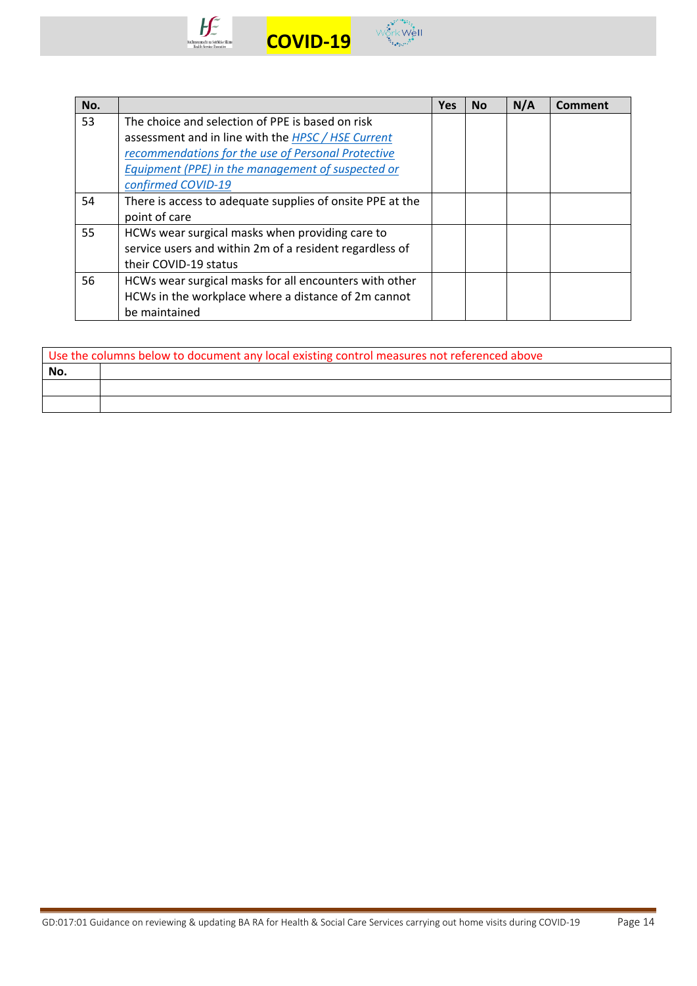



| No. |                                                           | <b>Yes</b> | No | N/A | <b>Comment</b> |
|-----|-----------------------------------------------------------|------------|----|-----|----------------|
| 53  | The choice and selection of PPE is based on risk          |            |    |     |                |
|     | assessment and in line with the HPSC / HSE Current        |            |    |     |                |
|     | recommendations for the use of Personal Protective        |            |    |     |                |
|     | Equipment (PPE) in the management of suspected or         |            |    |     |                |
|     | confirmed COVID-19                                        |            |    |     |                |
| 54  | There is access to adequate supplies of onsite PPE at the |            |    |     |                |
|     | point of care                                             |            |    |     |                |
| 55  | HCWs wear surgical masks when providing care to           |            |    |     |                |
|     | service users and within 2m of a resident regardless of   |            |    |     |                |
|     | their COVID-19 status                                     |            |    |     |                |
| 56  | HCWs wear surgical masks for all encounters with other    |            |    |     |                |
|     | HCWs in the workplace where a distance of 2m cannot       |            |    |     |                |
|     | be maintained                                             |            |    |     |                |

|     | Use the columns below to document any local existing control measures not referenced above |
|-----|--------------------------------------------------------------------------------------------|
| No. |                                                                                            |
|     |                                                                                            |
|     |                                                                                            |